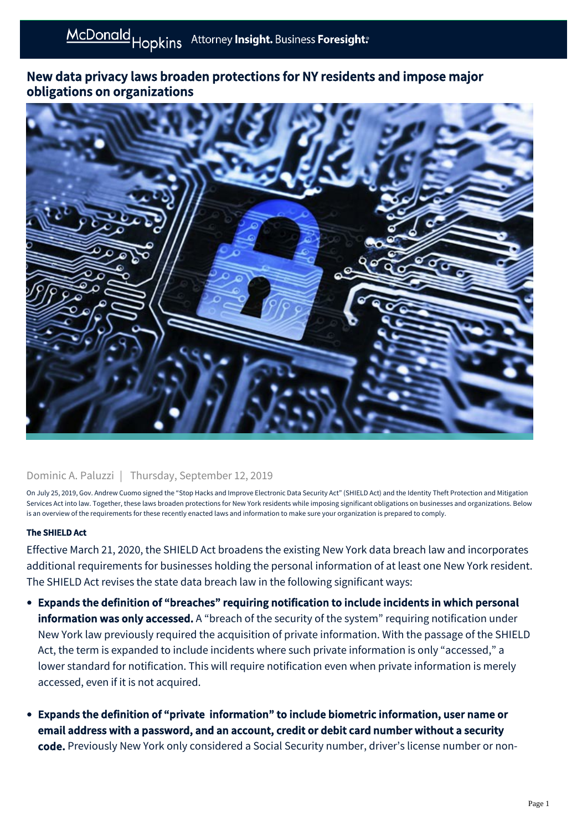# New data privacy laws broaden protections for NY residents and impose major obligations on organizations



#### Dominic A. Paluzzi | Thursday, September 12, 2019

On July 25, 2019, Gov. Andrew Cuomo signed the "Stop Hacks and Improve Electronic Data Security Act" (SHIELD Act) and the Identity Theft Protection and Mitigation Services Act into law. Together, these laws broaden protections for New York residents while imposing significant obligations on businesses and organizations. Below is an overview of the requirements for these recently enacted laws and information to make sure your organization is prepared to comply.

#### The SHIELD Act

Effective March 21, 2020, the SHIELD Act broadens the existing New York data breach law and incorporates additional requirements for businesses holding the personal information of at least one New York resident. The SHIELD Act revises the state data breach law in the following significant ways:

- Expands the definition of "breaches" requiring notification to include incidents in which personal information was only accessed. A "breach of the security of the system" requiring notification under New York law previously required the acquisition of private information. With the passage of the SHIELD Act, the term is expanded to include incidents where such private information is only "accessed," a lower standard for notification. This will require notification even when private information is merely accessed, even if it is not acquired.
- Expands the definition of "private information" to include biometric information, user name or email address with a password, and an account, credit or debit card number without a security code. Previously New York only considered a Social Security number, driver's license number or non-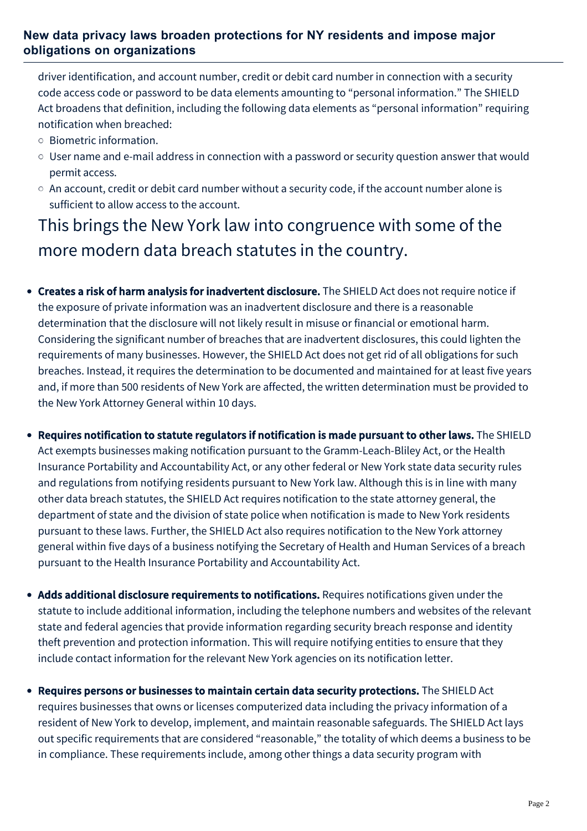## **New data privacy laws broaden protections for NY residents and impose major obligations on organizations**

driver identification, and account number, credit or debit card number in connection with a security code access code or password to be data elements amounting to "personal information." The SHIELD Act broadens that definition, including the following data elements as "personal information" requiring notification when breached:

- Biometric information.
- User name and e-mail address in connection with a password or security question answer that would permit access.
- An account, credit or debit card number without a security code, if the account number alone is sufficient to allow access to the account.

This brings the New York law into congruence with some of the more modern data breach statutes in the country.

- Creates a risk of harm analysis for inadvertent disclosure. The SHIELD Act does not require notice if the exposure of private information was an inadvertent disclosure and there is a reasonable determination that the disclosure will not likely result in misuse or financial or emotional harm. Considering the significant number of breaches that are inadvertent disclosures, this could lighten the requirements of many businesses. However, the SHIELD Act does not get rid of all obligations for such breaches. Instead, it requires the determination to be documented and maintained for at least five years and, if more than 500 residents of New York are affected, the written determination must be provided to the New York Attorney General within 10 days.
- Requires notification to statute regulators if notification is made pursuant to other laws. The SHIELD Act exempts businesses making notification pursuant to the Gramm-Leach-Bliley Act, or the Health Insurance Portability and Accountability Act, or any other federal or New York state data security rules and regulations from notifying residents pursuant to New York law. Although this is in line with many other data breach statutes, the SHIELD Act requires notification to the state attorney general, the department of state and the division of state police when notification is made to New York residents pursuant to these laws. Further, the SHIELD Act also requires notification to the New York attorney general within five days of a business notifying the Secretary of Health and Human Services of a breach pursuant to the Health Insurance Portability and Accountability Act.
- Adds additional disclosure requirements to notifications. Requires notifications given under the statute to include additional information, including the telephone numbers and websites of the relevant state and federal agencies that provide information regarding security breach response and identity theft prevention and protection information. This will require notifying entities to ensure that they include contact information for the relevant New York agencies on its notification letter.
- Requires persons or businesses to maintain certain data security protections. The SHIELD Act requires businesses that owns or licenses computerized data including the privacy information of a resident of New York to develop, implement, and maintain reasonable safeguards. The SHIELD Act lays out specific requirements that are considered "reasonable," the totality of which deems a business to be in compliance. These requirements include, among other things a data security program with